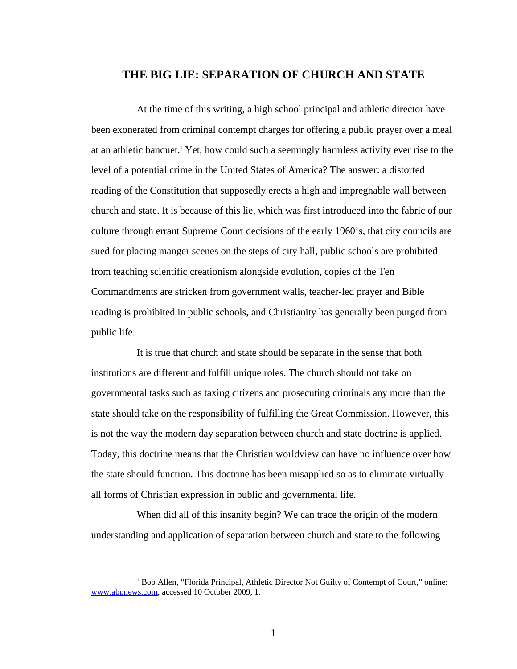# **THE BIG LIE: SEPARATION OF CHURCH AND STATE**

At the time of this writing, a high school principal and athletic director have been exonerated from criminal contempt charges for offering a public prayer over a meal at an athletic banquet.<sup>1</sup> Yet, how could such a seemingly harmless activity ever rise to the level of a potential crime in the United States of America? The answer: a distorted reading of the Constitution that supposedly erects a high and impregnable wall between church and state. It is because of this lie, which was first introduced into the fabric of our culture through errant Supreme Court decisions of the early 1960's, that city councils are sued for placing manger scenes on the steps of city hall, public schools are prohibited from teaching scientific creationism alongside evolution, copies of the Ten Commandments are stricken from government walls, teacher-led prayer and Bible reading is prohibited in public schools, and Christianity has generally been purged from public life.

It is true that church and state should be separate in the sense that both institutions are different and fulfill unique roles. The church should not take on governmental tasks such as taxing citizens and prosecuting criminals any more than the state should take on the responsibility of fulfilling the Great Commission. However, this is not the way the modern day separation between church and state doctrine is applied. Today, this doctrine means that the Christian worldview can have no influence over how the state should function. This doctrine has been misapplied so as to eliminate virtually all forms of Christian expression in public and governmental life.

When did all of this insanity begin? We can trace the origin of the modern understanding and application of separation between church and state to the following

<u>.</u>

<sup>&</sup>lt;sup>1</sup> Bob Allen, "Florida Principal, Athletic Director Not Guilty of Contempt of Court," online: www.abpnews.com, accessed 10 October 2009, 1.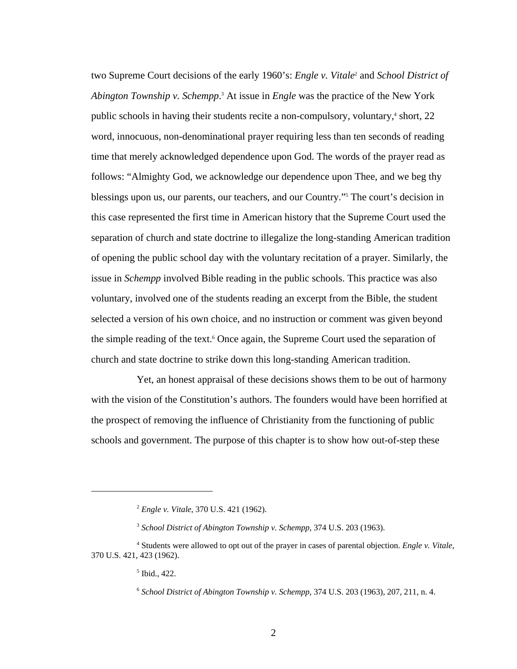two Supreme Court decisions of the early 1960's: *Engle v. Vitale*<sup>2</sup> and *School District of*  Abington Township v. Schempp.<sup>3</sup> At issue in *Engle* was the practice of the New York public schools in having their students recite a non-compulsory, voluntary,<sup>4</sup> short, 22 word, innocuous, non-denominational prayer requiring less than ten seconds of reading time that merely acknowledged dependence upon God. The words of the prayer read as follows: "Almighty God, we acknowledge our dependence upon Thee, and we beg thy blessings upon us, our parents, our teachers, and our Country."5 The court's decision in this case represented the first time in American history that the Supreme Court used the separation of church and state doctrine to illegalize the long-standing American tradition of opening the public school day with the voluntary recitation of a prayer. Similarly, the issue in *Schempp* involved Bible reading in the public schools. This practice was also voluntary, involved one of the students reading an excerpt from the Bible, the student selected a version of his own choice, and no instruction or comment was given beyond the simple reading of the text.<sup>6</sup> Once again, the Supreme Court used the separation of church and state doctrine to strike down this long-standing American tradition.

Yet, an honest appraisal of these decisions shows them to be out of harmony with the vision of the Constitution's authors. The founders would have been horrified at the prospect of removing the influence of Christianity from the functioning of public schools and government. The purpose of this chapter is to show how out-of-step these

<sup>2</sup> *Engle v. Vitale*, 370 U.S. 421 (1962).

<sup>3</sup> *School District of Abington Township v. Schempp*, 374 U.S. 203 (1963).

<sup>4</sup> Students were allowed to opt out of the prayer in cases of parental objection. *Engle v. Vitale*, 370 U.S. 421, 423 (1962).

<sup>5</sup> Ibid., 422.

<sup>6</sup> *School District of Abington Township v. Schempp*, 374 U.S. 203 (1963), 207, 211, n. 4.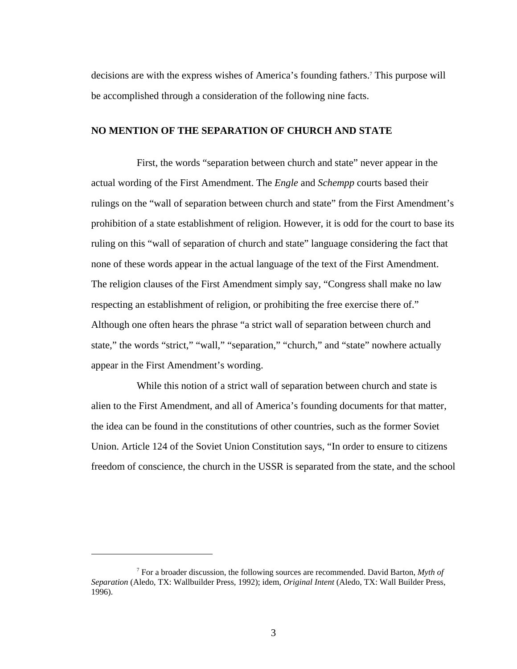decisions are with the express wishes of America's founding fathers.7 This purpose will be accomplished through a consideration of the following nine facts.

## **NO MENTION OF THE SEPARATION OF CHURCH AND STATE**

First, the words "separation between church and state" never appear in the actual wording of the First Amendment. The *Engle* and *Schempp* courts based their rulings on the "wall of separation between church and state" from the First Amendment's prohibition of a state establishment of religion. However, it is odd for the court to base its ruling on this "wall of separation of church and state" language considering the fact that none of these words appear in the actual language of the text of the First Amendment. The religion clauses of the First Amendment simply say, "Congress shall make no law respecting an establishment of religion, or prohibiting the free exercise there of." Although one often hears the phrase "a strict wall of separation between church and state," the words "strict," "wall," "separation," "church," and "state" nowhere actually appear in the First Amendment's wording.

While this notion of a strict wall of separation between church and state is alien to the First Amendment, and all of America's founding documents for that matter, the idea can be found in the constitutions of other countries, such as the former Soviet Union. Article 124 of the Soviet Union Constitution says, "In order to ensure to citizens freedom of conscience, the church in the USSR is separated from the state, and the school

1

<sup>7</sup> For a broader discussion, the following sources are recommended. David Barton, *Myth of Separation* (Aledo, TX: Wallbuilder Press, 1992); idem, *Original Intent* (Aledo, TX: Wall Builder Press, 1996).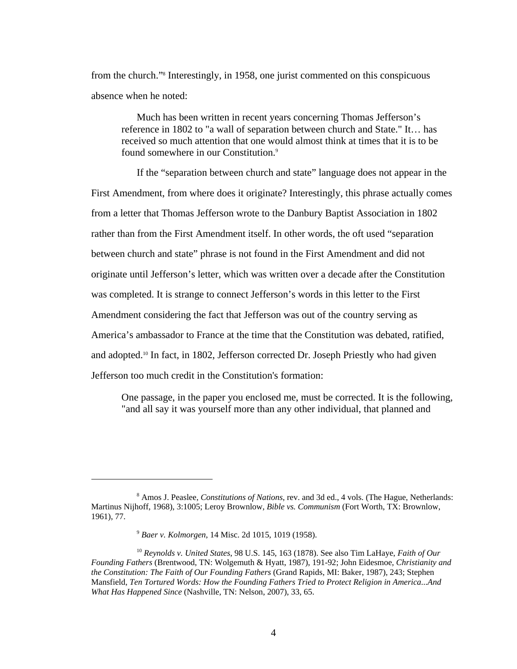from the church."8 Interestingly, in 1958, one jurist commented on this conspicuous absence when he noted:

Much has been written in recent years concerning Thomas Jefferson's reference in 1802 to "a wall of separation between church and State." It… has received so much attention that one would almost think at times that it is to be found somewhere in our Constitution.9

If the "separation between church and state" language does not appear in the First Amendment, from where does it originate? Interestingly, this phrase actually comes from a letter that Thomas Jefferson wrote to the Danbury Baptist Association in 1802 rather than from the First Amendment itself. In other words, the oft used "separation between church and state" phrase is not found in the First Amendment and did not originate until Jefferson's letter, which was written over a decade after the Constitution was completed. It is strange to connect Jefferson's words in this letter to the First Amendment considering the fact that Jefferson was out of the country serving as America's ambassador to France at the time that the Constitution was debated, ratified, and adopted.10 In fact, in 1802, Jefferson corrected Dr. Joseph Priestly who had given Jefferson too much credit in the Constitution's formation:

One passage, in the paper you enclosed me, must be corrected. It is the following, "and all say it was yourself more than any other individual, that planned and

<sup>8</sup> Amos J. Peaslee, *Constitutions of Nations*, rev. and 3d ed., 4 vols. (The Hague, Netherlands: Martinus Nijhoff, 1968), 3:1005; Leroy Brownlow, *Bible vs. Communism* (Fort Worth, TX: Brownlow, 1961), 77.

<sup>9</sup> *Baer v. Kolmorgen*, 14 Misc. 2d 1015, 1019 (1958).

<sup>10</sup> *Reynolds v. United States*, 98 U.S. 145, 163 (1878). See also Tim LaHaye, *Faith of Our Founding Fathers* (Brentwood, TN: Wolgemuth & Hyatt, 1987), 191-92; John Eidesmoe, *Christianity and the Constitution: The Faith of Our Founding Fathers* (Grand Rapids, MI: Baker, 1987), 243; Stephen Mansfield, *Ten Tortured Words: How the Founding Fathers Tried to Protect Religion in America...And What Has Happened Since* (Nashville, TN: Nelson, 2007), 33, 65.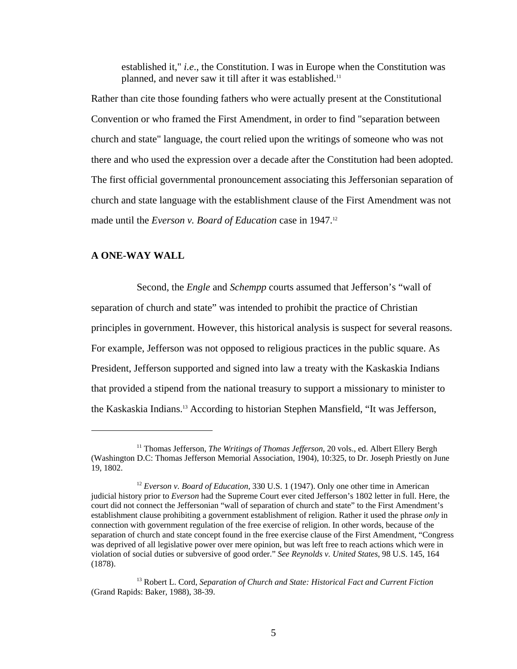established it," *i.e*., the Constitution. I was in Europe when the Constitution was planned, and never saw it till after it was established.11

Rather than cite those founding fathers who were actually present at the Constitutional Convention or who framed the First Amendment, in order to find "separation between church and state" language, the court relied upon the writings of someone who was not there and who used the expression over a decade after the Constitution had been adopted. The first official governmental pronouncement associating this Jeffersonian separation of church and state language with the establishment clause of the First Amendment was not made until the *Everson v. Board of Education* case in 1947.12

### **A ONE-WAY WALL**

 $\overline{a}$ 

Second, the *Engle* and *Schempp* courts assumed that Jefferson's "wall of separation of church and state" was intended to prohibit the practice of Christian principles in government. However, this historical analysis is suspect for several reasons. For example, Jefferson was not opposed to religious practices in the public square. As President, Jefferson supported and signed into law a treaty with the Kaskaskia Indians that provided a stipend from the national treasury to support a missionary to minister to the Kaskaskia Indians.13 According to historian Stephen Mansfield, "It was Jefferson,

<sup>&</sup>lt;sup>11</sup> Thomas Jefferson, *The Writings of Thomas Jefferson*, 20 vols., ed. Albert Ellery Bergh (Washington D.C: Thomas Jefferson Memorial Association, 1904), 10:325, to Dr. Joseph Priestly on June 19, 1802.

<sup>12</sup> *Everson v. Board of Education*, 330 U.S. 1 (1947). Only one other time in American judicial history prior to *Everson* had the Supreme Court ever cited Jefferson's 1802 letter in full. Here, the court did not connect the Jeffersonian "wall of separation of church and state" to the First Amendment's establishment clause prohibiting a government establishment of religion. Rather it used the phrase *only* in connection with government regulation of the free exercise of religion. In other words, because of the separation of church and state concept found in the free exercise clause of the First Amendment, "Congress was deprived of all legislative power over mere opinion, but was left free to reach actions which were in violation of social duties or subversive of good order." *See Reynolds v. United States*, 98 U.S. 145, 164 (1878).

<sup>13</sup> Robert L. Cord, *Separation of Church and State: Historical Fact and Current Fiction* (Grand Rapids: Baker, 1988), 38-39.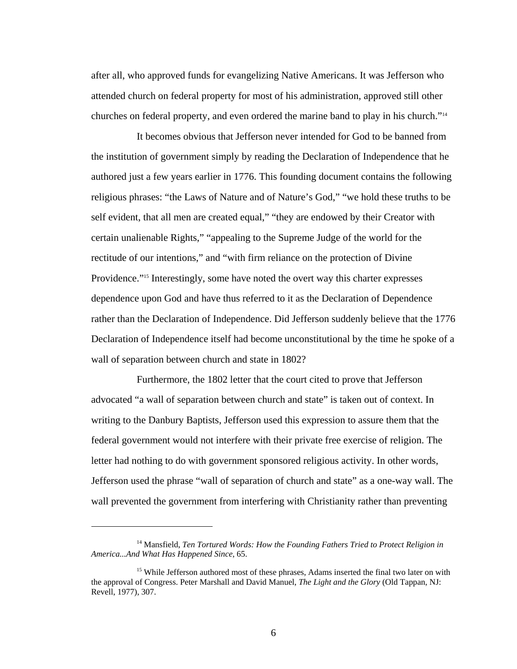after all, who approved funds for evangelizing Native Americans. It was Jefferson who attended church on federal property for most of his administration, approved still other churches on federal property, and even ordered the marine band to play in his church."14

It becomes obvious that Jefferson never intended for God to be banned from the institution of government simply by reading the Declaration of Independence that he authored just a few years earlier in 1776. This founding document contains the following religious phrases: "the Laws of Nature and of Nature's God," "we hold these truths to be self evident, that all men are created equal," "they are endowed by their Creator with certain unalienable Rights," "appealing to the Supreme Judge of the world for the rectitude of our intentions," and "with firm reliance on the protection of Divine Providence."<sup>15</sup> Interestingly, some have noted the overt way this charter expresses dependence upon God and have thus referred to it as the Declaration of Dependence rather than the Declaration of Independence. Did Jefferson suddenly believe that the 1776 Declaration of Independence itself had become unconstitutional by the time he spoke of a wall of separation between church and state in 1802?

Furthermore, the 1802 letter that the court cited to prove that Jefferson advocated "a wall of separation between church and state" is taken out of context. In writing to the Danbury Baptists, Jefferson used this expression to assure them that the federal government would not interfere with their private free exercise of religion. The letter had nothing to do with government sponsored religious activity. In other words, Jefferson used the phrase "wall of separation of church and state" as a one-way wall. The wall prevented the government from interfering with Christianity rather than preventing

<sup>&</sup>lt;sup>14</sup> Mansfield, *Ten Tortured Words: How the Founding Fathers Tried to Protect Religion in America...And What Has Happened Since*, 65.

<sup>&</sup>lt;sup>15</sup> While Jefferson authored most of these phrases, Adams inserted the final two later on with the approval of Congress. Peter Marshall and David Manuel, *The Light and the Glory* (Old Tappan, NJ: Revell, 1977), 307.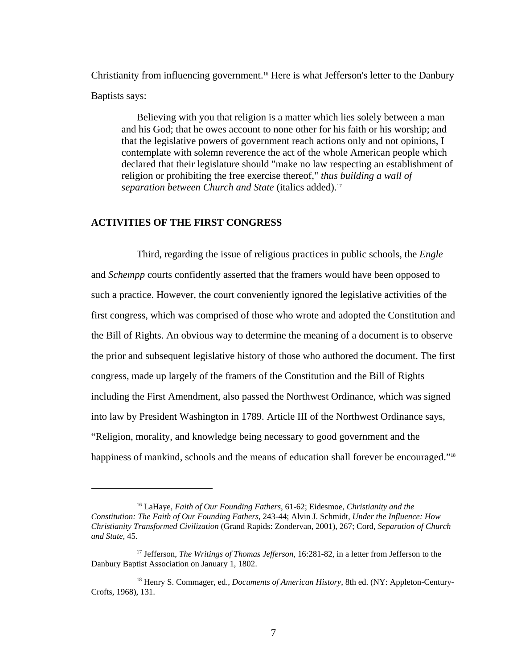Christianity from influencing government.<sup>16</sup> Here is what Jefferson's letter to the Danbury Baptists says:

Believing with you that religion is a matter which lies solely between a man and his God; that he owes account to none other for his faith or his worship; and that the legislative powers of government reach actions only and not opinions, I contemplate with solemn reverence the act of the whole American people which declared that their legislature should "make no law respecting an establishment of religion or prohibiting the free exercise thereof," *thus building a wall of separation between Church and State* (italics added).17

### **ACTIVITIES OF THE FIRST CONGRESS**

1

Third, regarding the issue of religious practices in public schools, the *Engle* and *Schempp* courts confidently asserted that the framers would have been opposed to such a practice. However, the court conveniently ignored the legislative activities of the first congress, which was comprised of those who wrote and adopted the Constitution and the Bill of Rights. An obvious way to determine the meaning of a document is to observe the prior and subsequent legislative history of those who authored the document. The first congress, made up largely of the framers of the Constitution and the Bill of Rights including the First Amendment, also passed the Northwest Ordinance, which was signed into law by President Washington in 1789. Article III of the Northwest Ordinance says, "Religion, morality, and knowledge being necessary to good government and the happiness of mankind, schools and the means of education shall forever be encouraged."<sup>18</sup>

<sup>16</sup> LaHaye, *Faith of Our Founding Fathers*, 61-62; Eidesmoe, *Christianity and the Constitution: The Faith of Our Founding Fathers*, 243-44; Alvin J. Schmidt, *Under the Influence: How Christianity Transformed Civilization* (Grand Rapids: Zondervan, 2001), 267; Cord, *Separation of Church and State*, 45.

<sup>17</sup> Jefferson, *The Writings of Thomas Jefferson*, 16:281-82, in a letter from Jefferson to the Danbury Baptist Association on January 1, 1802.

<sup>18</sup> Henry S. Commager, ed., *Documents of American History*, 8th ed. (NY: Appleton-Century-Crofts, 1968), 131.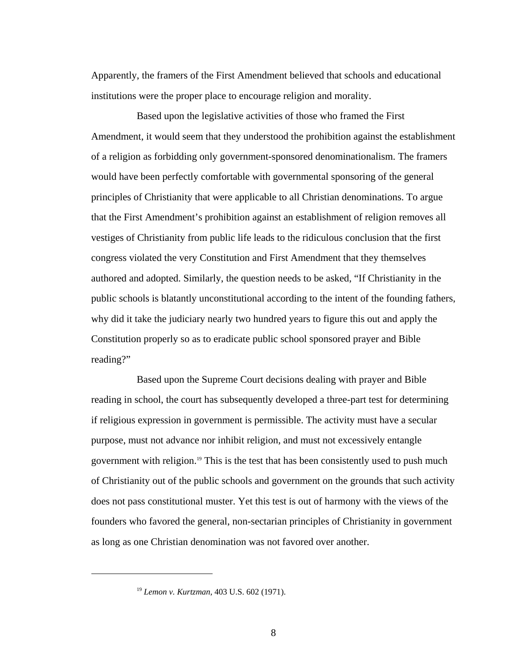Apparently, the framers of the First Amendment believed that schools and educational institutions were the proper place to encourage religion and morality.

Based upon the legislative activities of those who framed the First Amendment, it would seem that they understood the prohibition against the establishment of a religion as forbidding only government-sponsored denominationalism. The framers would have been perfectly comfortable with governmental sponsoring of the general principles of Christianity that were applicable to all Christian denominations. To argue that the First Amendment's prohibition against an establishment of religion removes all vestiges of Christianity from public life leads to the ridiculous conclusion that the first congress violated the very Constitution and First Amendment that they themselves authored and adopted. Similarly, the question needs to be asked, "If Christianity in the public schools is blatantly unconstitutional according to the intent of the founding fathers, why did it take the judiciary nearly two hundred years to figure this out and apply the Constitution properly so as to eradicate public school sponsored prayer and Bible reading?"

Based upon the Supreme Court decisions dealing with prayer and Bible reading in school, the court has subsequently developed a three-part test for determining if religious expression in government is permissible. The activity must have a secular purpose, must not advance nor inhibit religion, and must not excessively entangle government with religion.19 This is the test that has been consistently used to push much of Christianity out of the public schools and government on the grounds that such activity does not pass constitutional muster. Yet this test is out of harmony with the views of the founders who favored the general, non-sectarian principles of Christianity in government as long as one Christian denomination was not favored over another.

<sup>19</sup> *Lemon v. Kurtzman*, 403 U.S. 602 (1971).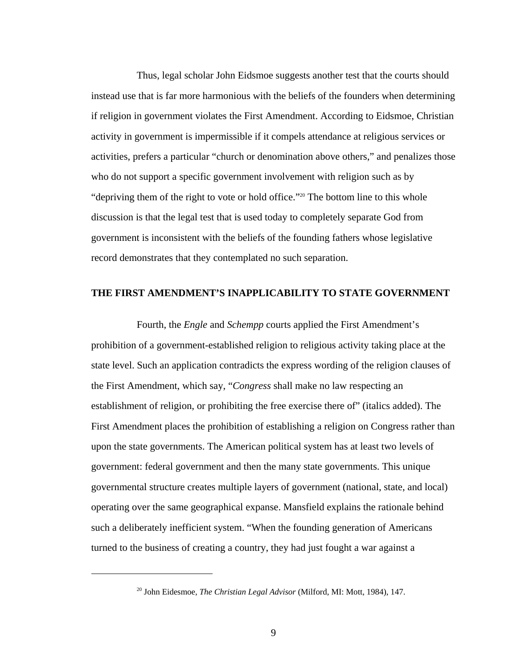Thus, legal scholar John Eidsmoe suggests another test that the courts should instead use that is far more harmonious with the beliefs of the founders when determining if religion in government violates the First Amendment. According to Eidsmoe, Christian activity in government is impermissible if it compels attendance at religious services or activities, prefers a particular "church or denomination above others," and penalizes those who do not support a specific government involvement with religion such as by "depriving them of the right to vote or hold office."20 The bottom line to this whole discussion is that the legal test that is used today to completely separate God from government is inconsistent with the beliefs of the founding fathers whose legislative record demonstrates that they contemplated no such separation.

## **THE FIRST AMENDMENT'S INAPPLICABILITY TO STATE GOVERNMENT**

Fourth, the *Engle* and *Schempp* courts applied the First Amendment's prohibition of a government-established religion to religious activity taking place at the state level. Such an application contradicts the express wording of the religion clauses of the First Amendment, which say, "*Congress* shall make no law respecting an establishment of religion, or prohibiting the free exercise there of" (italics added). The First Amendment places the prohibition of establishing a religion on Congress rather than upon the state governments. The American political system has at least two levels of government: federal government and then the many state governments. This unique governmental structure creates multiple layers of government (national, state, and local) operating over the same geographical expanse. Mansfield explains the rationale behind such a deliberately inefficient system. "When the founding generation of Americans turned to the business of creating a country, they had just fought a war against a

<sup>20</sup> John Eidesmoe, *The Christian Legal Advisor* (Milford, MI: Mott, 1984), 147.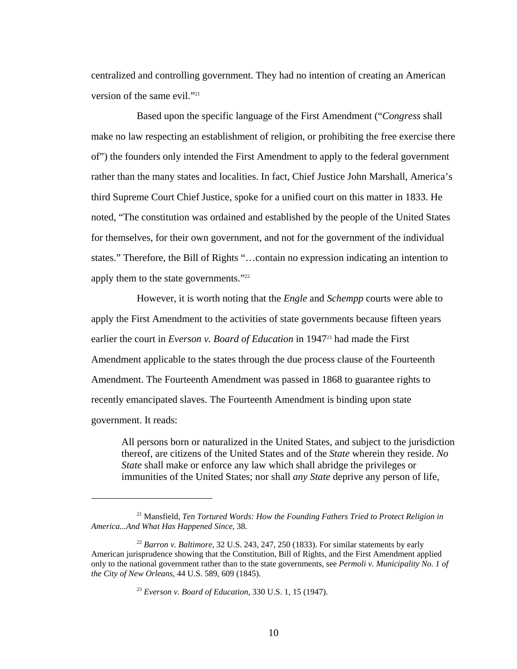centralized and controlling government. They had no intention of creating an American version of the same evil." $^{21}$ 

Based upon the specific language of the First Amendment ("*Congress* shall make no law respecting an establishment of religion, or prohibiting the free exercise there of") the founders only intended the First Amendment to apply to the federal government rather than the many states and localities. In fact, Chief Justice John Marshall, America's third Supreme Court Chief Justice, spoke for a unified court on this matter in 1833. He noted, "The constitution was ordained and established by the people of the United States for themselves, for their own government, and not for the government of the individual states." Therefore, the Bill of Rights "…contain no expression indicating an intention to apply them to the state governments."<sup>22</sup>

However, it is worth noting that the *Engle* and *Schempp* courts were able to apply the First Amendment to the activities of state governments because fifteen years earlier the court in *Everson v. Board of Education* in 1947<sup>23</sup> had made the First Amendment applicable to the states through the due process clause of the Fourteenth Amendment. The Fourteenth Amendment was passed in 1868 to guarantee rights to recently emancipated slaves. The Fourteenth Amendment is binding upon state government. It reads:

All persons born or naturalized in the United States, and subject to the jurisdiction thereof, are citizens of the United States and of the *State* wherein they reside. *No State* shall make or enforce any law which shall abridge the privileges or immunities of the United States; nor shall *any State* deprive any person of life,

<sup>21</sup> Mansfield, *Ten Tortured Words: How the Founding Fathers Tried to Protect Religion in America...And What Has Happened Since*, 38.

<sup>&</sup>lt;sup>22</sup> *Barron v. Baltimore*, 32 U.S. 243, 247, 250 (1833). For similar statements by early American jurisprudence showing that the Constitution, Bill of Rights, and the First Amendment applied only to the national government rather than to the state governments, see *Permoli v. Municipality No. 1 of the City of New Orleans*, 44 U.S. 589, 609 (1845).

<sup>23</sup> *Everson v. Board of Education*, 330 U.S. 1, 15 (1947).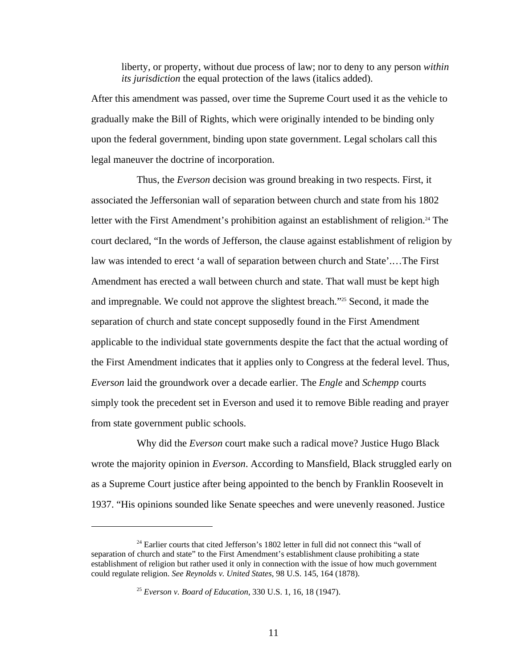liberty, or property, without due process of law; nor to deny to any person *within its jurisdiction* the equal protection of the laws (italics added).

After this amendment was passed, over time the Supreme Court used it as the vehicle to gradually make the Bill of Rights, which were originally intended to be binding only upon the federal government, binding upon state government. Legal scholars call this legal maneuver the doctrine of incorporation.

Thus, the *Everson* decision was ground breaking in two respects. First, it associated the Jeffersonian wall of separation between church and state from his 1802 letter with the First Amendment's prohibition against an establishment of religion.<sup>24</sup> The court declared, "In the words of Jefferson, the clause against establishment of religion by law was intended to erect 'a wall of separation between church and State'.…The First Amendment has erected a wall between church and state. That wall must be kept high and impregnable. We could not approve the slightest breach."25 Second, it made the separation of church and state concept supposedly found in the First Amendment applicable to the individual state governments despite the fact that the actual wording of the First Amendment indicates that it applies only to Congress at the federal level. Thus, *Everson* laid the groundwork over a decade earlier. The *Engle* and *Schempp* courts simply took the precedent set in Everson and used it to remove Bible reading and prayer from state government public schools.

Why did the *Everson* court make such a radical move? Justice Hugo Black wrote the majority opinion in *Everson*. According to Mansfield, Black struggled early on as a Supreme Court justice after being appointed to the bench by Franklin Roosevelt in 1937. "His opinions sounded like Senate speeches and were unevenly reasoned. Justice

 $24$  Earlier courts that cited Jefferson's 1802 letter in full did not connect this "wall of separation of church and state" to the First Amendment's establishment clause prohibiting a state establishment of religion but rather used it only in connection with the issue of how much government could regulate religion. *See Reynolds v. United States*, 98 U.S. 145, 164 (1878).

<sup>25</sup> *Everson v. Board of Education*, 330 U.S. 1, 16, 18 (1947).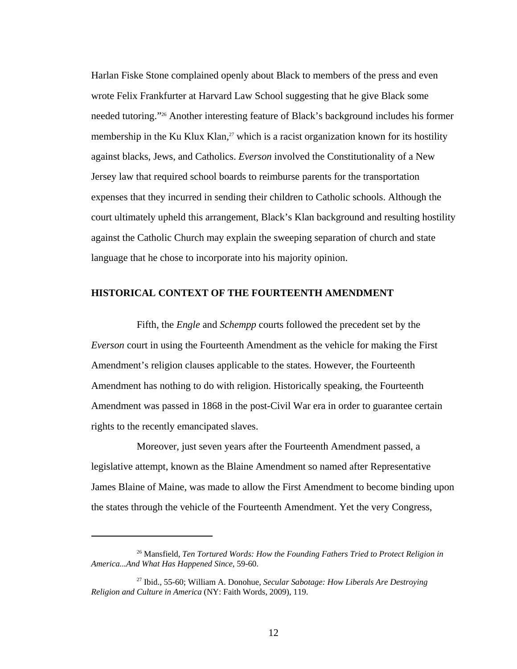Harlan Fiske Stone complained openly about Black to members of the press and even wrote Felix Frankfurter at Harvard Law School suggesting that he give Black some needed tutoring."26 Another interesting feature of Black's background includes his former membership in the Ku Klux Klan,<sup> $27$ </sup> which is a racist organization known for its hostility against blacks, Jews, and Catholics. *Everson* involved the Constitutionality of a New Jersey law that required school boards to reimburse parents for the transportation expenses that they incurred in sending their children to Catholic schools. Although the court ultimately upheld this arrangement, Black's Klan background and resulting hostility against the Catholic Church may explain the sweeping separation of church and state language that he chose to incorporate into his majority opinion.

# **HISTORICAL CONTEXT OF THE FOURTEENTH AMENDMENT**

Fifth, the *Engle* and *Schempp* courts followed the precedent set by the *Everson* court in using the Fourteenth Amendment as the vehicle for making the First Amendment's religion clauses applicable to the states. However, the Fourteenth Amendment has nothing to do with religion. Historically speaking, the Fourteenth Amendment was passed in 1868 in the post-Civil War era in order to guarantee certain rights to the recently emancipated slaves.

Moreover, just seven years after the Fourteenth Amendment passed, a legislative attempt, known as the Blaine Amendment so named after Representative James Blaine of Maine, was made to allow the First Amendment to become binding upon the states through the vehicle of the Fourteenth Amendment. Yet the very Congress,

<u>.</u>

<sup>26</sup> Mansfield, *Ten Tortured Words: How the Founding Fathers Tried to Protect Religion in America...And What Has Happened Since*, 59-60.

<sup>27</sup> Ibid., 55-60; William A. Donohue, *Secular Sabotage: How Liberals Are Destroying Religion and Culture in America* (NY: Faith Words, 2009), 119.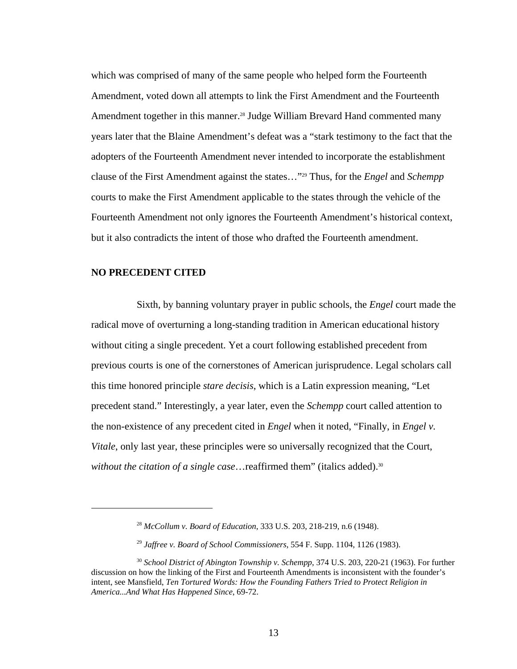which was comprised of many of the same people who helped form the Fourteenth Amendment, voted down all attempts to link the First Amendment and the Fourteenth Amendment together in this manner.<sup>28</sup> Judge William Brevard Hand commented many years later that the Blaine Amendment's defeat was a "stark testimony to the fact that the adopters of the Fourteenth Amendment never intended to incorporate the establishment clause of the First Amendment against the states…"29 Thus, for the *Engel* and *Schempp* courts to make the First Amendment applicable to the states through the vehicle of the Fourteenth Amendment not only ignores the Fourteenth Amendment's historical context, but it also contradicts the intent of those who drafted the Fourteenth amendment.

#### **NO PRECEDENT CITED**

 $\overline{a}$ 

Sixth, by banning voluntary prayer in public schools, the *Engel* court made the radical move of overturning a long-standing tradition in American educational history without citing a single precedent. Yet a court following established precedent from previous courts is one of the cornerstones of American jurisprudence. Legal scholars call this time honored principle *stare decisis*, which is a Latin expression meaning, "Let precedent stand." Interestingly, a year later, even the *Schempp* court called attention to the non-existence of any precedent cited in *Engel* when it noted, "Finally, in *Engel v. Vitale*, only last year, these principles were so universally recognized that the Court, without the citation of a single case...reaffirmed them" (italics added).<sup>30</sup>

<sup>28</sup> *McCollum v. Board of Education*, 333 U.S. 203, 218-219, n.6 (1948).

<sup>29</sup> *Jaffree v. Board of School Commissioners*, 554 F. Supp. 1104, 1126 (1983).

<sup>&</sup>lt;sup>30</sup> School District of Abington Township v. Schempp, 374 U.S. 203, 220-21 (1963). For further discussion on how the linking of the First and Fourteenth Amendments is inconsistent with the founder's intent, see Mansfield, *Ten Tortured Words: How the Founding Fathers Tried to Protect Religion in America...And What Has Happened Since*, 69-72.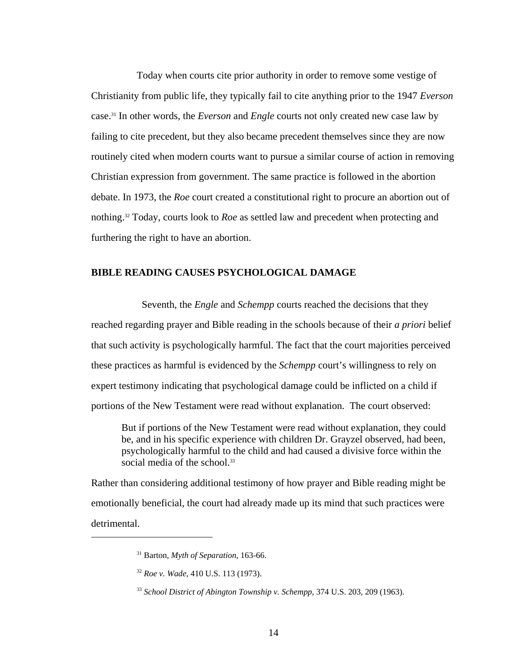Today when courts cite prior authority in order to remove some vestige of Christianity from public life, they typically fail to cite anything prior to the 1947 *Everson* case.31 In other words, the *Everson* and *Engle* courts not only created new case law by failing to cite precedent, but they also became precedent themselves since they are now routinely cited when modern courts want to pursue a similar course of action in removing Christian expression from government. The same practice is followed in the abortion debate. In 1973, the *Roe* court created a constitutional right to procure an abortion out of nothing.32 Today, courts look to *Roe* as settled law and precedent when protecting and furthering the right to have an abortion.

#### **BIBLE READING CAUSES PSYCHOLOGICAL DAMAGE**

 Seventh, the *Engle* and *Schempp* courts reached the decisions that they reached regarding prayer and Bible reading in the schools because of their *a priori* belief that such activity is psychologically harmful. The fact that the court majorities perceived these practices as harmful is evidenced by the *Schempp* court's willingness to rely on expert testimony indicating that psychological damage could be inflicted on a child if portions of the New Testament were read without explanation. The court observed:

But if portions of the New Testament were read without explanation, they could be, and in his specific experience with children Dr. Grayzel observed, had been, psychologically harmful to the child and had caused a divisive force within the social media of the school.<sup>33</sup>

Rather than considering additional testimony of how prayer and Bible reading might be emotionally beneficial, the court had already made up its mind that such practices were detrimental.

<sup>31</sup> Barton, *Myth of Separation*, 163-66.

<sup>32</sup> *Roe v. Wade*, 410 U.S. 113 (1973).

<sup>33</sup> *School District of Abington Township v. Schempp*, 374 U.S. 203, 209 (1963).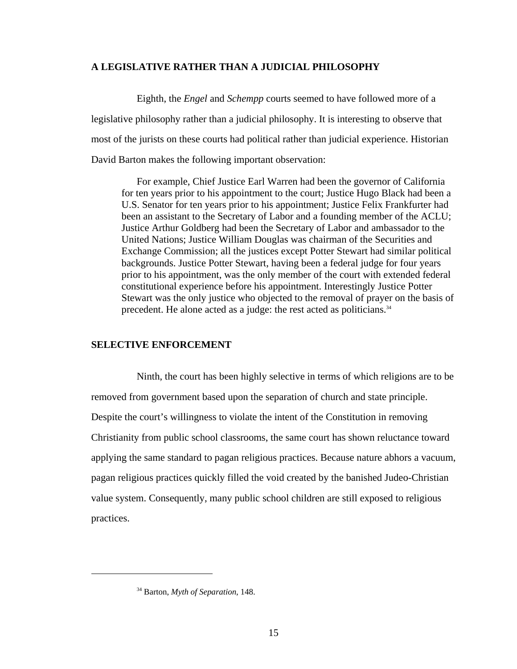# **A LEGISLATIVE RATHER THAN A JUDICIAL PHILOSOPHY**

Eighth, the *Engel* and *Schempp* courts seemed to have followed more of a legislative philosophy rather than a judicial philosophy. It is interesting to observe that most of the jurists on these courts had political rather than judicial experience. Historian David Barton makes the following important observation:

For example, Chief Justice Earl Warren had been the governor of California for ten years prior to his appointment to the court; Justice Hugo Black had been a U.S. Senator for ten years prior to his appointment; Justice Felix Frankfurter had been an assistant to the Secretary of Labor and a founding member of the ACLU; Justice Arthur Goldberg had been the Secretary of Labor and ambassador to the United Nations; Justice William Douglas was chairman of the Securities and Exchange Commission; all the justices except Potter Stewart had similar political backgrounds. Justice Potter Stewart, having been a federal judge for four years prior to his appointment, was the only member of the court with extended federal constitutional experience before his appointment. Interestingly Justice Potter Stewart was the only justice who objected to the removal of prayer on the basis of precedent. He alone acted as a judge: the rest acted as politicians.34

## **SELECTIVE ENFORCEMENT**

Ninth, the court has been highly selective in terms of which religions are to be removed from government based upon the separation of church and state principle. Despite the court's willingness to violate the intent of the Constitution in removing Christianity from public school classrooms, the same court has shown reluctance toward applying the same standard to pagan religious practices. Because nature abhors a vacuum, pagan religious practices quickly filled the void created by the banished Judeo-Christian value system. Consequently, many public school children are still exposed to religious practices.

<sup>34</sup> Barton, *Myth of Separation*, 148.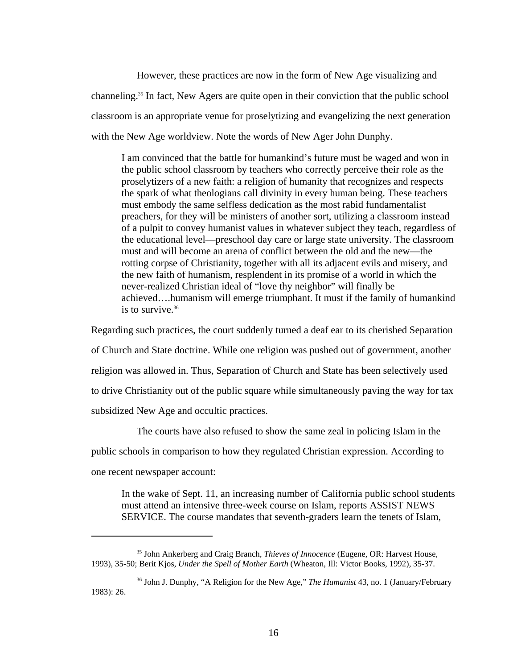However, these practices are now in the form of New Age visualizing and channeling.35 In fact, New Agers are quite open in their conviction that the public school classroom is an appropriate venue for proselytizing and evangelizing the next generation with the New Age worldview. Note the words of New Ager John Dunphy.

I am convinced that the battle for humankind's future must be waged and won in the public school classroom by teachers who correctly perceive their role as the proselytizers of a new faith: a religion of humanity that recognizes and respects the spark of what theologians call divinity in every human being. These teachers must embody the same selfless dedication as the most rabid fundamentalist preachers, for they will be ministers of another sort, utilizing a classroom instead of a pulpit to convey humanist values in whatever subject they teach, regardless of the educational level—preschool day care or large state university. The classroom must and will become an arena of conflict between the old and the new—the rotting corpse of Christianity, together with all its adjacent evils and misery, and the new faith of humanism, resplendent in its promise of a world in which the never-realized Christian ideal of "love thy neighbor" will finally be achieved….humanism will emerge triumphant. It must if the family of humankind is to survive.<sup>36</sup>

Regarding such practices, the court suddenly turned a deaf ear to its cherished Separation of Church and State doctrine. While one religion was pushed out of government, another religion was allowed in. Thus, Separation of Church and State has been selectively used to drive Christianity out of the public square while simultaneously paving the way for tax subsidized New Age and occultic practices.

The courts have also refused to show the same zeal in policing Islam in the

public schools in comparison to how they regulated Christian expression. According to

one recent newspaper account:

<u>.</u>

In the wake of Sept. 11, an increasing number of California public school students must attend an intensive three-week course on Islam, reports ASSIST NEWS SERVICE. The course mandates that seventh-graders learn the tenets of Islam,

<sup>35</sup> John Ankerberg and Craig Branch, *Thieves of Innocence* (Eugene, OR: Harvest House, 1993), 35-50; Berit Kjos, *Under the Spell of Mother Earth* (Wheaton, Ill: Victor Books, 1992), 35-37.

<sup>36</sup> John J. Dunphy, "A Religion for the New Age," *The Humanist* 43, no. 1 (January/February 1983): 26.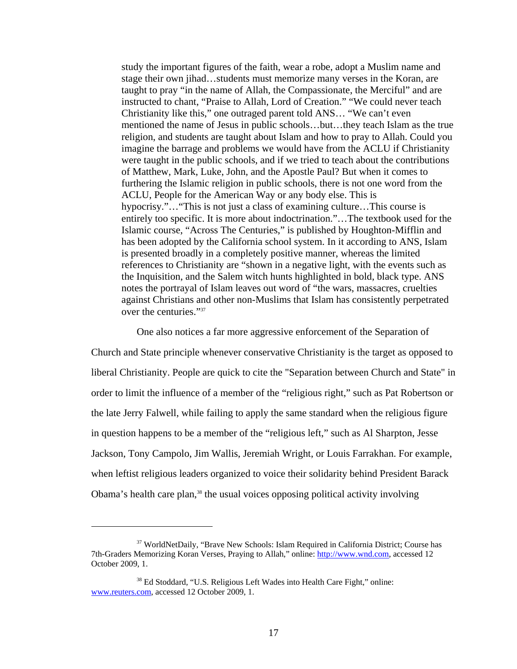study the important figures of the faith, wear a robe, adopt a Muslim name and stage their own jihad…students must memorize many verses in the Koran, are taught to pray "in the name of Allah, the Compassionate, the Merciful" and are instructed to chant, "Praise to Allah, Lord of Creation." "We could never teach Christianity like this," one outraged parent told ANS… "We can't even mentioned the name of Jesus in public schools…but…they teach Islam as the true religion, and students are taught about Islam and how to pray to Allah. Could you imagine the barrage and problems we would have from the ACLU if Christianity were taught in the public schools, and if we tried to teach about the contributions of Matthew, Mark, Luke, John, and the Apostle Paul? But when it comes to furthering the Islamic religion in public schools, there is not one word from the ACLU, People for the American Way or any body else. This is hypocrisy."…"This is not just a class of examining culture…This course is entirely too specific. It is more about indoctrination."…The textbook used for the Islamic course, "Across The Centuries," is published by Houghton-Mifflin and has been adopted by the California school system. In it according to ANS, Islam is presented broadly in a completely positive manner, whereas the limited references to Christianity are "shown in a negative light, with the events such as the Inquisition, and the Salem witch hunts highlighted in bold, black type. ANS notes the portrayal of Islam leaves out word of "the wars, massacres, cruelties against Christians and other non-Muslims that Islam has consistently perpetrated over the centuries."37

One also notices a far more aggressive enforcement of the Separation of

Church and State principle whenever conservative Christianity is the target as opposed to liberal Christianity. People are quick to cite the "Separation between Church and State" in order to limit the influence of a member of the "religious right," such as Pat Robertson or the late Jerry Falwell, while failing to apply the same standard when the religious figure in question happens to be a member of the "religious left," such as Al Sharpton, Jesse Jackson, Tony Campolo, Jim Wallis, Jeremiah Wright, or Louis Farrakhan. For example, when leftist religious leaders organized to voice their solidarity behind President Barack Obama's health care plan,<sup>38</sup> the usual voices opposing political activity involving

<sup>&</sup>lt;sup>37</sup> WorldNetDaily, "Brave New Schools: Islam Required in California District; Course has 7th-Graders Memorizing Koran Verses, Praying to Allah," online: http://www.wnd.com, accessed 12 October 2009, 1.

<sup>38</sup> Ed Stoddard, "U.S. Religious Left Wades into Health Care Fight," online: www.reuters.com, accessed 12 October 2009, 1.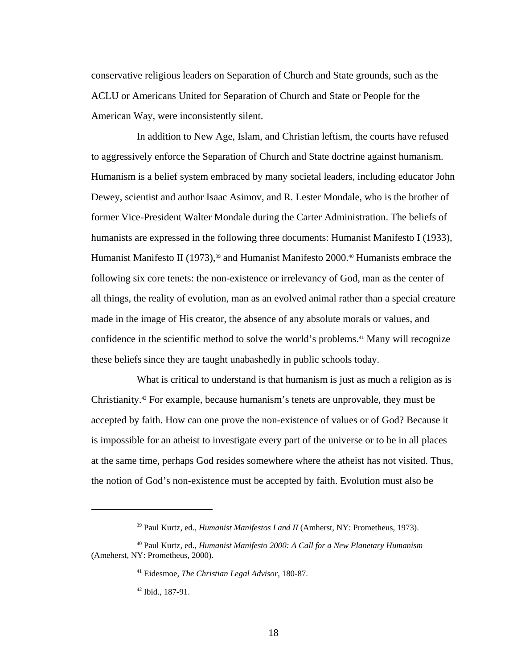conservative religious leaders on Separation of Church and State grounds, such as the ACLU or Americans United for Separation of Church and State or People for the American Way, were inconsistently silent.

In addition to New Age, Islam, and Christian leftism, the courts have refused to aggressively enforce the Separation of Church and State doctrine against humanism. Humanism is a belief system embraced by many societal leaders, including educator John Dewey, scientist and author Isaac Asimov, and R. Lester Mondale, who is the brother of former Vice-President Walter Mondale during the Carter Administration. The beliefs of humanists are expressed in the following three documents: Humanist Manifesto I (1933), Humanist Manifesto II (1973),<sup>39</sup> and Humanist Manifesto 2000.<sup>40</sup> Humanists embrace the following six core tenets: the non-existence or irrelevancy of God, man as the center of all things, the reality of evolution, man as an evolved animal rather than a special creature made in the image of His creator, the absence of any absolute morals or values, and confidence in the scientific method to solve the world's problems.<sup>41</sup> Many will recognize these beliefs since they are taught unabashedly in public schools today.

What is critical to understand is that humanism is just as much a religion as is Christianity.42 For example, because humanism's tenets are unprovable, they must be accepted by faith. How can one prove the non-existence of values or of God? Because it is impossible for an atheist to investigate every part of the universe or to be in all places at the same time, perhaps God resides somewhere where the atheist has not visited. Thus, the notion of God's non-existence must be accepted by faith. Evolution must also be

42 Ibid., 187-91.

<sup>&</sup>lt;sup>39</sup> Paul Kurtz, ed., *Humanist Manifestos I and II* (Amherst, NY: Prometheus, 1973).

<sup>40</sup> Paul Kurtz, ed., *Humanist Manifesto 2000: A Call for a New Planetary Humanism* (Ameherst, NY: Prometheus, 2000).

<sup>41</sup> Eidesmoe, *The Christian Legal Advisor*, 180-87.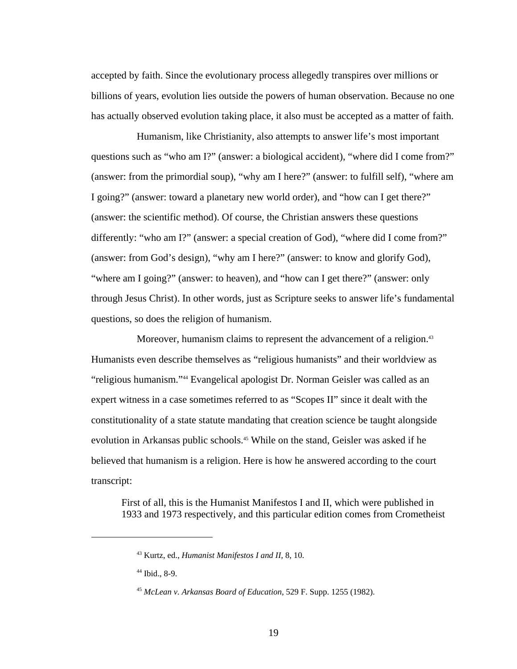accepted by faith. Since the evolutionary process allegedly transpires over millions or billions of years, evolution lies outside the powers of human observation. Because no one has actually observed evolution taking place, it also must be accepted as a matter of faith.

Humanism, like Christianity, also attempts to answer life's most important questions such as "who am I?" (answer: a biological accident), "where did I come from?" (answer: from the primordial soup), "why am I here?" (answer: to fulfill self), "where am I going?" (answer: toward a planetary new world order), and "how can I get there?" (answer: the scientific method). Of course, the Christian answers these questions differently: "who am I?" (answer: a special creation of God), "where did I come from?" (answer: from God's design), "why am I here?" (answer: to know and glorify God), "where am I going?" (answer: to heaven), and "how can I get there?" (answer: only through Jesus Christ). In other words, just as Scripture seeks to answer life's fundamental questions, so does the religion of humanism.

Moreover, humanism claims to represent the advancement of a religion.<sup>43</sup> Humanists even describe themselves as "religious humanists" and their worldview as "religious humanism."44 Evangelical apologist Dr. Norman Geisler was called as an expert witness in a case sometimes referred to as "Scopes II" since it dealt with the constitutionality of a state statute mandating that creation science be taught alongside evolution in Arkansas public schools.<sup>45</sup> While on the stand, Geisler was asked if he believed that humanism is a religion. Here is how he answered according to the court transcript:

First of all, this is the Humanist Manifestos I and II, which were published in 1933 and 1973 respectively, and this particular edition comes from Crometheist

<u>.</u>

<sup>43</sup> Kurtz, ed., *Humanist Manifestos I and II*, 8, 10.

<sup>44</sup> Ibid., 8-9.

<sup>45</sup> *McLean v. Arkansas Board of Education*, 529 F. Supp. 1255 (1982).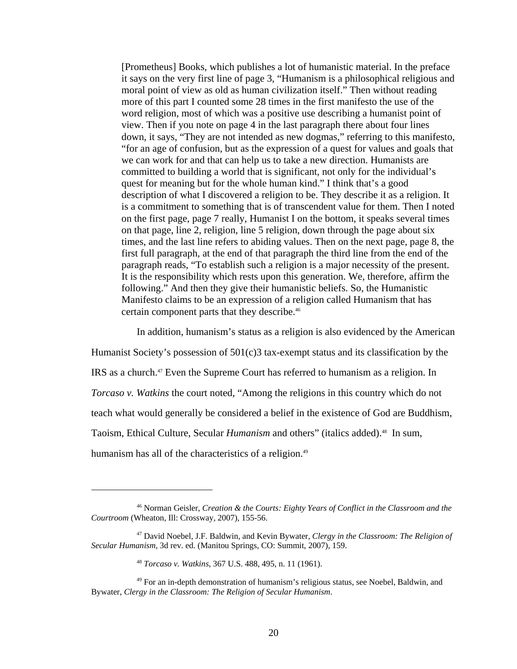[Prometheus] Books, which publishes a lot of humanistic material. In the preface it says on the very first line of page 3, "Humanism is a philosophical religious and moral point of view as old as human civilization itself." Then without reading more of this part I counted some 28 times in the first manifesto the use of the word religion, most of which was a positive use describing a humanist point of view. Then if you note on page 4 in the last paragraph there about four lines down, it says, "They are not intended as new dogmas," referring to this manifesto, "for an age of confusion, but as the expression of a quest for values and goals that we can work for and that can help us to take a new direction. Humanists are committed to building a world that is significant, not only for the individual's quest for meaning but for the whole human kind." I think that's a good description of what I discovered a religion to be. They describe it as a religion. It is a commitment to something that is of transcendent value for them. Then I noted on the first page, page 7 really, Humanist I on the bottom, it speaks several times on that page, line 2, religion, line 5 religion, down through the page about six times, and the last line refers to abiding values. Then on the next page, page 8, the first full paragraph, at the end of that paragraph the third line from the end of the paragraph reads, "To establish such a religion is a major necessity of the present. It is the responsibility which rests upon this generation. We, therefore, affirm the following." And then they give their humanistic beliefs. So, the Humanistic Manifesto claims to be an expression of a religion called Humanism that has certain component parts that they describe.46

In addition, humanism's status as a religion is also evidenced by the American

Humanist Society's possession of 501(c)3 tax-exempt status and its classification by the

IRS as a church.47 Even the Supreme Court has referred to humanism as a religion. In

*Torcaso v. Watkins* the court noted, "Among the religions in this country which do not

teach what would generally be considered a belief in the existence of God are Buddhism,

Taoism, Ethical Culture, Secular *Humanism* and others" (italics added).48 In sum,

humanism has all of the characteristics of a religion.<sup>49</sup>

<sup>46</sup> Norman Geisler, *Creation & the Courts: Eighty Years of Conflict in the Classroom and the Courtroom* (Wheaton, Ill: Crossway, 2007), 155-56.

<sup>47</sup> David Noebel, J.F. Baldwin, and Kevin Bywater, *Clergy in the Classroom: The Religion of Secular Humanism*, 3d rev. ed. (Manitou Springs, CO: Summit, 2007), 159.

<sup>48</sup> *Torcaso v. Watkins*, 367 U.S. 488, 495, n. 11 (1961).

<sup>49</sup> For an in-depth demonstration of humanism's religious status, see Noebel, Baldwin, and Bywater, *Clergy in the Classroom: The Religion of Secular Humanism*.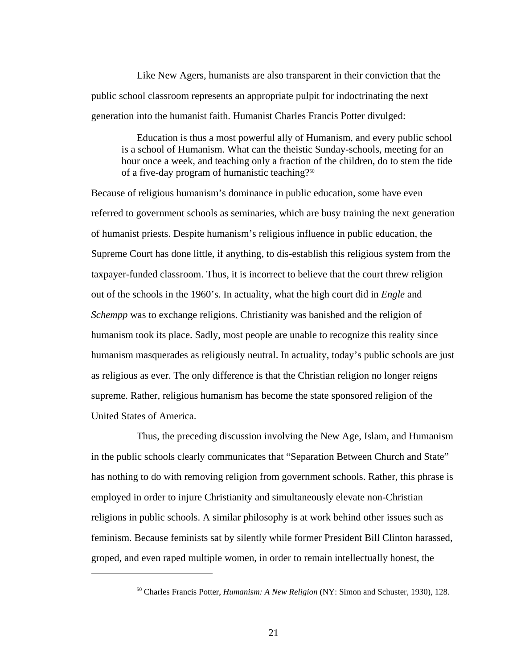Like New Agers, humanists are also transparent in their conviction that the public school classroom represents an appropriate pulpit for indoctrinating the next generation into the humanist faith. Humanist Charles Francis Potter divulged:

Education is thus a most powerful ally of Humanism, and every public school is a school of Humanism. What can the theistic Sunday-schools, meeting for an hour once a week, and teaching only a fraction of the children, do to stem the tide of a five-day program of humanistic teaching?50

Because of religious humanism's dominance in public education, some have even referred to government schools as seminaries, which are busy training the next generation of humanist priests. Despite humanism's religious influence in public education, the Supreme Court has done little, if anything, to dis-establish this religious system from the taxpayer-funded classroom. Thus, it is incorrect to believe that the court threw religion out of the schools in the 1960's. In actuality, what the high court did in *Engle* and *Schempp* was to exchange religions. Christianity was banished and the religion of humanism took its place. Sadly, most people are unable to recognize this reality since humanism masquerades as religiously neutral. In actuality, today's public schools are just as religious as ever. The only difference is that the Christian religion no longer reigns supreme. Rather, religious humanism has become the state sponsored religion of the United States of America.

Thus, the preceding discussion involving the New Age, Islam, and Humanism in the public schools clearly communicates that "Separation Between Church and State" has nothing to do with removing religion from government schools. Rather, this phrase is employed in order to injure Christianity and simultaneously elevate non-Christian religions in public schools. A similar philosophy is at work behind other issues such as feminism. Because feminists sat by silently while former President Bill Clinton harassed, groped, and even raped multiple women, in order to remain intellectually honest, the

<sup>50</sup> Charles Francis Potter, *Humanism: A New Religion* (NY: Simon and Schuster, 1930), 128.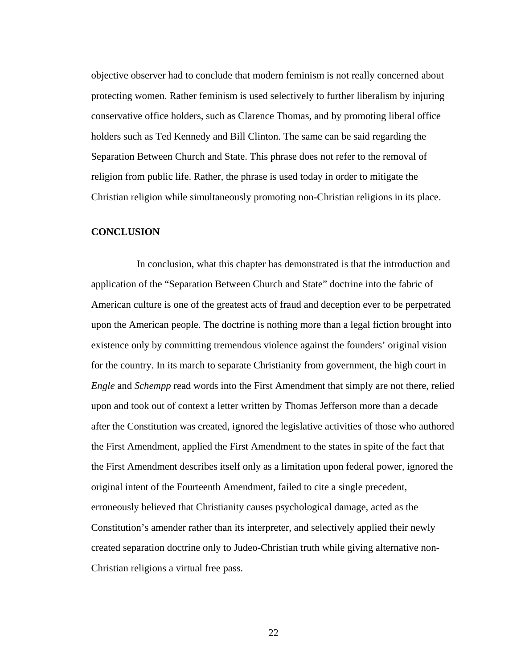objective observer had to conclude that modern feminism is not really concerned about protecting women. Rather feminism is used selectively to further liberalism by injuring conservative office holders, such as Clarence Thomas, and by promoting liberal office holders such as Ted Kennedy and Bill Clinton. The same can be said regarding the Separation Between Church and State. This phrase does not refer to the removal of religion from public life. Rather, the phrase is used today in order to mitigate the Christian religion while simultaneously promoting non-Christian religions in its place.

### **CONCLUSION**

In conclusion, what this chapter has demonstrated is that the introduction and application of the "Separation Between Church and State" doctrine into the fabric of American culture is one of the greatest acts of fraud and deception ever to be perpetrated upon the American people. The doctrine is nothing more than a legal fiction brought into existence only by committing tremendous violence against the founders' original vision for the country. In its march to separate Christianity from government, the high court in *Engle* and *Schempp* read words into the First Amendment that simply are not there, relied upon and took out of context a letter written by Thomas Jefferson more than a decade after the Constitution was created, ignored the legislative activities of those who authored the First Amendment, applied the First Amendment to the states in spite of the fact that the First Amendment describes itself only as a limitation upon federal power, ignored the original intent of the Fourteenth Amendment, failed to cite a single precedent, erroneously believed that Christianity causes psychological damage, acted as the Constitution's amender rather than its interpreter, and selectively applied their newly created separation doctrine only to Judeo-Christian truth while giving alternative non-Christian religions a virtual free pass.

22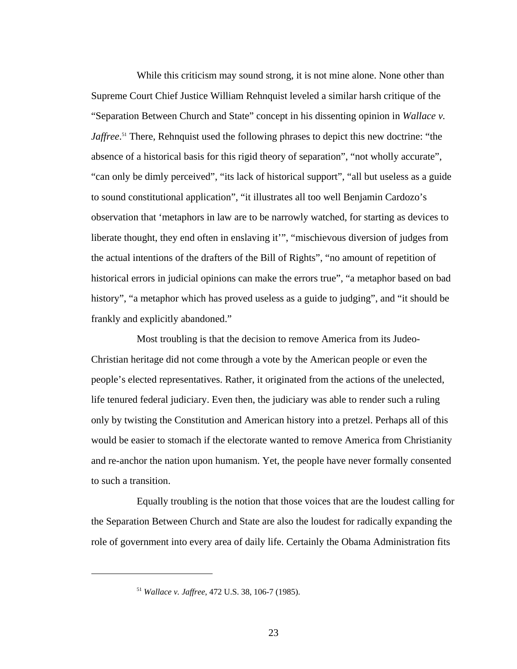While this criticism may sound strong, it is not mine alone. None other than Supreme Court Chief Justice William Rehnquist leveled a similar harsh critique of the "Separation Between Church and State" concept in his dissenting opinion in *Wallace v. Jaffree*.<sup>51</sup> There, Rehnquist used the following phrases to depict this new doctrine: "the absence of a historical basis for this rigid theory of separation", "not wholly accurate", "can only be dimly perceived", "its lack of historical support", "all but useless as a guide to sound constitutional application", "it illustrates all too well Benjamin Cardozo's observation that 'metaphors in law are to be narrowly watched, for starting as devices to liberate thought, they end often in enslaving it'", "mischievous diversion of judges from the actual intentions of the drafters of the Bill of Rights", "no amount of repetition of historical errors in judicial opinions can make the errors true", "a metaphor based on bad history", "a metaphor which has proved useless as a guide to judging", and "it should be frankly and explicitly abandoned."

Most troubling is that the decision to remove America from its Judeo-Christian heritage did not come through a vote by the American people or even the people's elected representatives. Rather, it originated from the actions of the unelected, life tenured federal judiciary. Even then, the judiciary was able to render such a ruling only by twisting the Constitution and American history into a pretzel. Perhaps all of this would be easier to stomach if the electorate wanted to remove America from Christianity and re-anchor the nation upon humanism. Yet, the people have never formally consented to such a transition.

Equally troubling is the notion that those voices that are the loudest calling for the Separation Between Church and State are also the loudest for radically expanding the role of government into every area of daily life. Certainly the Obama Administration fits

<sup>51</sup> *Wallace v. Jaffree*, 472 U.S. 38, 106-7 (1985).